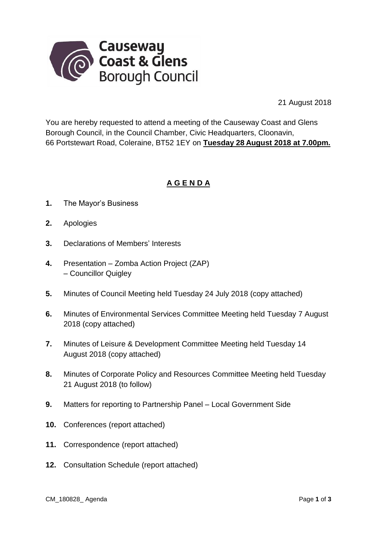

21 August 2018

You are hereby requested to attend a meeting of the Causeway Coast and Glens Borough Council, in the Council Chamber, Civic Headquarters, Cloonavin, 66 Portstewart Road, Coleraine, BT52 1EY on **Tuesday 28 August 2018 at 7.00pm.** 

## **A G E N D A**

- **1.** The Mayor's Business
- **2.** Apologies
- **3.** Declarations of Members' Interests
- **4.** Presentation Zomba Action Project (ZAP) – Councillor Quigley
- **5.** Minutes of Council Meeting held Tuesday 24 July 2018 (copy attached)
- **6.** Minutes of Environmental Services Committee Meeting held Tuesday 7 August 2018 (copy attached)
- **7.** Minutes of Leisure & Development Committee Meeting held Tuesday 14 August 2018 (copy attached)
- **8.** Minutes of Corporate Policy and Resources Committee Meeting held Tuesday 21 August 2018 (to follow)
- **9.** Matters for reporting to Partnership Panel Local Government Side
- **10.** Conferences (report attached)
- **11.** Correspondence (report attached)
- **12.** Consultation Schedule (report attached)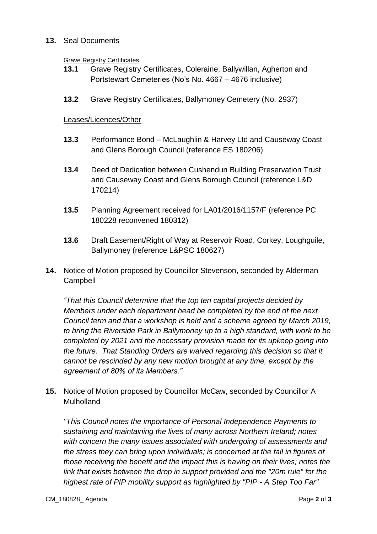## **13.** Seal Documents

## Grave Registry Certificates

- **13.1** Grave Registry Certificates, Coleraine, Ballywillan, Agherton and Portstewart Cemeteries (No's No. 4667 – 4676 inclusive)
- **13.2** Grave Registry Certificates, Ballymoney Cemetery (No. 2937)

## Leases/Licences/Other

- **13.3** Performance Bond McLaughlin & Harvey Ltd and Causeway Coast and Glens Borough Council (reference ES 180206)
- **13.4** Deed of Dedication between Cushendun Building Preservation Trust and Causeway Coast and Glens Borough Council (reference L&D 170214)
- **13.5** Planning Agreement received for LA01/2016/1157/F (reference PC 180228 reconvened 180312)
- **13.6** Draft Easement/Right of Way at Reservoir Road, Corkey, Loughguile, Ballymoney (reference L&PSC 180627)
- **14.** Notice of Motion proposed by Councillor Stevenson, seconded by Alderman Campbell

*"That this Council determine that the top ten capital projects decided by Members under each department head be completed by the end of the next Council term and that a workshop is held and a scheme agreed by March 2019, to bring the Riverside Park in Ballymoney up to a high standard, with work to be completed by 2021 and the necessary provision made for its upkeep going into the future. That Standing Orders are waived regarding this decision so that it cannot be rescinded by any new motion brought at any time, except by the agreement of 80% of its Members."*

**15.** Notice of Motion proposed by Councillor McCaw, seconded by Councillor A **Mulholland** 

*"This Council notes the importance of Personal Independence Payments to sustaining and maintaining the lives of many across Northern Ireland; notes with concern the many issues associated with undergoing of assessments and the stress they can bring upon individuals; is concerned at the fall in figures of those receiving the benefit and the impact this is having on their lives; notes the link that exists between the drop in support provided and the "20m rule" for the highest rate of PIP mobility support as highlighted by "PIP - A Step Too Far"*